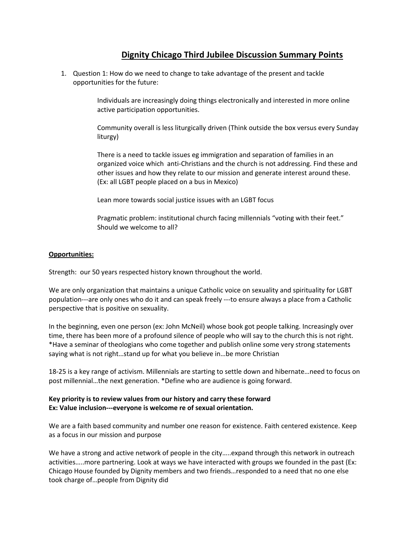# **Dignity Chicago Third Jubilee Discussion Summary Points**

1. Question 1: How do we need to change to take advantage of the present and tackle opportunities for the future:

> Individuals are increasingly doing things electronically and interested in more online active participation opportunities.

Community overall is less liturgically driven (Think outside the box versus every Sunday liturgy)

There is a need to tackle issues eg immigration and separation of families in an organized voice which anti-Christians and the church is not addressing. Find these and other issues and how they relate to our mission and generate interest around these. (Ex: all LGBT people placed on a bus in Mexico)

Lean more towards social justice issues with an LGBT focus

Pragmatic problem: institutional church facing millennials "voting with their feet." Should we welcome to all?

## **Opportunities:**

Strength: our 50 years respected history known throughout the world.

We are only organization that maintains a unique Catholic voice on sexuality and spirituality for LGBT population---are only ones who do it and can speak freely ---to ensure always a place from a Catholic perspective that is positive on sexuality.

In the beginning, even one person (ex: John McNeil) whose book got people talking. Increasingly over time, there has been more of a profound silence of people who will say to the church this is not right. \*Have a seminar of theologians who come together and publish online some very strong statements saying what is not right…stand up for what you believe in…be more Christian

18-25 is a key range of activism. Millennials are starting to settle down and hibernate…need to focus on post millennial…the next generation. \*Define who are audience is going forward.

## **Key priority is to review values from our history and carry these forward Ex: Value inclusion---everyone is welcome re of sexual orientation.**

We are a faith based community and number one reason for existence. Faith centered existence. Keep as a focus in our mission and purpose

We have a strong and active network of people in the city..... expand through this network in outreach activities…..more partnering. Look at ways we have interacted with groups we founded in the past (Ex: Chicago House founded by Dignity members and two friends…responded to a need that no one else took charge of…people from Dignity did